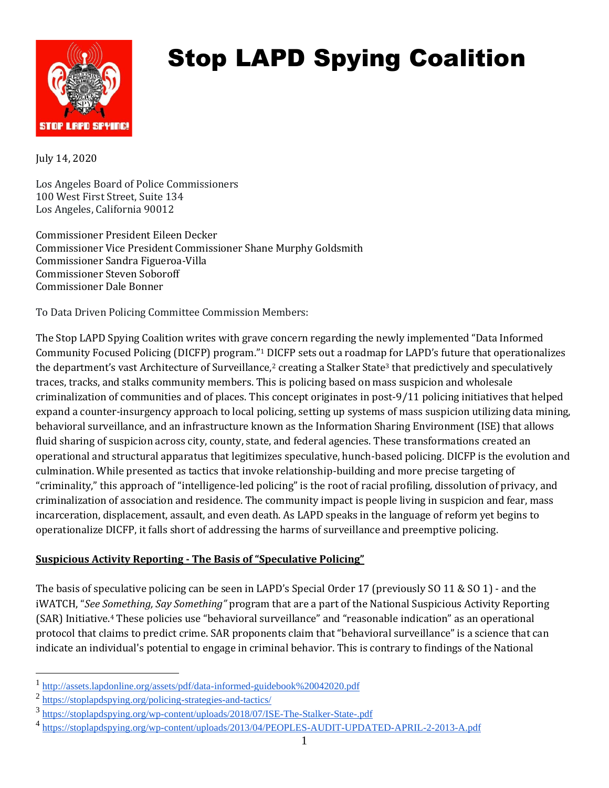

# Stop LAPD Spying Coalition

July 14, 2020

Los Angeles Board of Police Commissioners 100 West First Street, Suite 134 Los Angeles, California 90012

Commissioner President Eileen Decker Commissioner Vice President Commissioner Shane Murphy Goldsmith Commissioner Sandra Figueroa-Villa Commissioner Steven Soboroff Commissioner Dale Bonner

To Data Driven Policing Committee Commission Members:

The Stop LAPD Spying Coalition writes with grave concern regarding the newly implemented "Data Informed Community Focused Policing (DICFP) program."<sup>1</sup> DICFP sets out a roadmap for LAPD's future that operationalizes the department's vast Architecture of Surveillance,<sup>2</sup> creating a Stalker State<sup>3</sup> that predictively and speculatively traces, tracks, and stalks community members. This is policing based on mass suspicion and wholesale criminalization of communities and of places. This concept originates in post-9/11 policing initiatives that helped expand a counter-insurgency approach to local policing, setting up systems of mass suspicion utilizing data mining, behavioral surveillance, and an infrastructure known as the Information Sharing Environment (ISE) that allows fluid sharing of suspicion across city, county, state, and federal agencies. These transformations created an operational and structural apparatus that legitimizes speculative, hunch-based policing. DICFP is the evolution and culmination. While presented as tactics that invoke relationship-building and more precise targeting of "criminality," this approach of "intelligence-led policing" is the root of racial profiling, dissolution of privacy, and criminalization of association and residence. The community impact is people living in suspicion and fear, mass incarceration, displacement, assault, and even death. As LAPD speaks in the language of reform yet begins to operationalize DICFP, it falls short of addressing the harms of surveillance and preemptive policing.

#### **Suspicious Activity Reporting - The Basis of "Speculative Policing"**

The basis of speculative policing can be seen in LAPD's Special Order 17 (previously SO 11 & SO 1) - and the iWATCH, "*See Something, Say Something"* program that are a part of the National Suspicious Activity Reporting (SAR) Initiative.<sup>4</sup> These policies use "behavioral surveillance" and "reasonable indication" as an operational protocol that claims to predict crime. SAR proponents claim that "behavioral surveillance" is a science that can indicate an individual's potential to engage in criminal behavior. This is contrary to findings of the National

<sup>1</sup> <http://assets.lapdonline.org/assets/pdf/data-informed-guidebook%20042020.pdf>

<sup>&</sup>lt;sup>2</sup> <https://stoplapdspying.org/policing-strategies-and-tactics/>

<sup>3</sup> <https://stoplapdspying.org/wp-content/uploads/2018/07/ISE-The-Stalker-State-.pdf>

<sup>4</sup> <https://stoplapdspying.org/wp-content/uploads/2013/04/PEOPLES-AUDIT-UPDATED-APRIL-2-2013-A.pdf>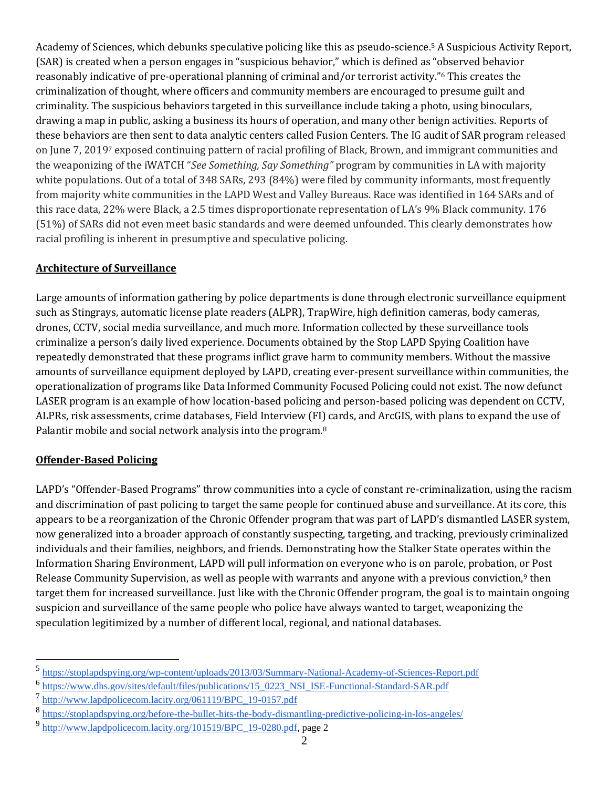Academy of Sciences, which debunks speculative policing like this as pseudo-science.<sup>5</sup> A Suspicious Activity Report, (SAR) is created when a person engages in "suspicious behavior," which is defined as "observed behavior reasonably indicative of pre-operational planning of criminal and/or terrorist activity."<sup>6</sup> This creates the criminalization of thought, where officers and community members are encouraged to presume guilt and criminality. The suspicious behaviors targeted in this surveillance include taking a photo, using binoculars, drawing a map in public, asking a business its hours of operation, and many other benign activities. Reports of these behaviors are then sent to data analytic centers called Fusion Centers. The IG audit of SAR program released on June 7, 2019<sup>7</sup> exposed continuing pattern of racial profiling of Black, Brown, and immigrant communities and the weaponizing of the iWATCH "*See Something, Say Something"* program by communities in LA with majority white populations. Out of a total of 348 SARs, 293 (84%) were filed by community informants, most frequently from majority white communities in the LAPD West and Valley Bureaus. Race was identified in 164 SARs and of this race data, 22% were Black, a 2.5 times disproportionate representation of LA's 9% Black community. 176 (51%) of SARs did not even meet basic standards and were deemed unfounded. This clearly demonstrates how racial profiling is inherent in presumptive and speculative policing.

#### **Architecture of Surveillance**

Large amounts of information gathering by police departments is done through electronic surveillance equipment such as Stingrays, automatic license plate readers (ALPR), TrapWire, high definition cameras, body cameras, drones, CCTV, social media surveillance, and much more. Information collected by these surveillance tools criminalize a person's daily lived experience. Documents obtained by the Stop LAPD Spying Coalition have repeatedly demonstrated that these programs inflict grave harm to community members. Without the massive amounts of surveillance equipment deployed by LAPD, creating ever-present surveillance within communities, the operationalization of programs like Data Informed Community Focused Policing could not exist. The now defunct LASER program is an example of how location-based policing and person-based policing was dependent on CCTV, ALPRs, risk assessments, crime databases, Field Interview (FI) cards, and ArcGIS, with plans to expand the use of Palantir mobile and social network analysis into the program.<sup>8</sup>

#### **Offender-Based Policing**

LAPD's "Offender-Based Programs" throw communities into a cycle of constant re-criminalization, using the racism and discrimination of past policing to target the same people for continued abuse and surveillance. At its core, this appears to be a reorganization of the Chronic Offender program that was part of LAPD's dismantled LASER system, now generalized into a broader approach of constantly suspecting, targeting, and tracking, previously criminalized individuals and their families, neighbors, and friends. Demonstrating how the Stalker State operates within the Information Sharing Environment, LAPD will pull information on everyone who is on parole, probation, or Post Release Community Supervision, as well as people with warrants and anyone with a previous conviction,<sup>9</sup> then target them for increased surveillance. Just like with the Chronic Offender program, the goal is to maintain ongoing suspicion and surveillance of the same people who police have always wanted to target, weaponizing the speculation legitimized by a number of different local, regional, and national databases.

<sup>5</sup> <https://stoplapdspying.org/wp-content/uploads/2013/03/Summary-National-Academy-of-Sciences-Report.pdf>

<sup>&</sup>lt;sup>6</sup> [https://www.dhs.gov/sites/default/files/publications/15\\_0223\\_NSI\\_ISE-Functional-Standard-SAR.pdf](https://www.dhs.gov/sites/default/files/publications/15_0223_NSI_ISE-Functional-Standard-SAR.pdf)

<sup>7</sup> [http://www.lapdpolicecom.lacity.org/061119/BPC\\_19-0157.pdf](http://www.lapdpolicecom.lacity.org/061119/BPC_19-0157.pdf)

<sup>&</sup>lt;sup>8</sup> <https://stoplapdspying.org/before-the-bullet-hits-the-body-dismantling-predictive-policing-in-los-angeles/>

<sup>9</sup> [http://www.lapdpolicecom.lacity.org/101519/BPC\\_19-0280.pdf,](http://www.lapdpolicecom.lacity.org/101519/BPC_19-0280.pdf) page 2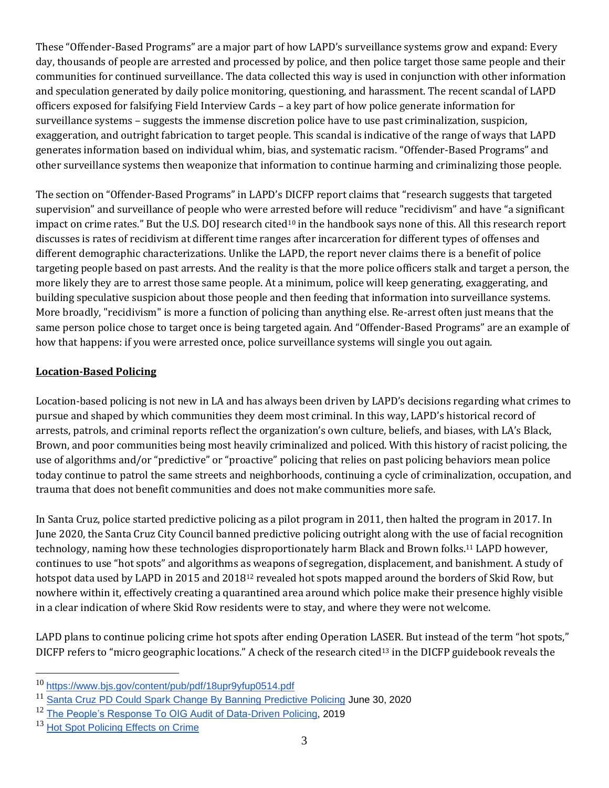These "Offender-Based Programs" are a major part of how LAPD's surveillance systems grow and expand: Every day, thousands of people are arrested and processed by police, and then police target those same people and their communities for continued surveillance. The data collected this way is used in conjunction with other information and speculation generated by daily police monitoring, questioning, and harassment. The recent scandal of LAPD officers exposed for falsifying Field Interview Cards – a key part of how police generate information for surveillance systems – suggests the immense discretion police have to use past criminalization, suspicion, exaggeration, and outright fabrication to target people. This scandal is indicative of the range of ways that LAPD generates information based on individual whim, bias, and systematic racism. "Offender-Based Programs" and other surveillance systems then weaponize that information to continue harming and criminalizing those people.

The section on "Offender-Based Programs" in LAPD's DICFP report claims that "research suggests that targeted supervision" and surveillance of people who were arrested before will reduce "recidivism" and have "a significant impact on crime rates." But the U.S. DOJ research cited<sup>10</sup> in the handbook says none of this. All this research report discusses is rates of recidivism at different time ranges after incarceration for different types of offenses and different demographic characterizations. Unlike the LAPD, the report never claims there is a benefit of police targeting people based on past arrests. And the reality is that the more police officers stalk and target a person, the more likely they are to arrest those same people. At a minimum, police will keep generating, exaggerating, and building speculative suspicion about those people and then feeding that information into surveillance systems. More broadly, "recidivism" is more a function of policing than anything else. Re-arrest often just means that the same person police chose to target once is being targeted again. And "Offender-Based Programs" are an example of how that happens: if you were arrested once, police surveillance systems will single you out again.

#### **Location-Based Policing**

Location-based policing is not new in LA and has always been driven by LAPD's decisions regarding what crimes to pursue and shaped by which communities they deem most criminal. In this way, LAPD's historical record of arrests, patrols, and criminal reports reflect the organization's own culture, beliefs, and biases, with LA's Black, Brown, and poor communities being most heavily criminalized and policed. With this history of racist policing, the use of algorithms and/or "predictive" or "proactive" policing that relies on past policing behaviors mean police today continue to patrol the same streets and neighborhoods, continuing a cycle of criminalization, occupation, and trauma that does not benefit communities and does not make communities more safe.

In Santa Cruz, police started predictive policing as a pilot program in 2011, then halted the program in 2017. In June 2020, the Santa Cruz City Council banned predictive policing outright along with the use of facial recognition technology, naming how these technologies disproportionately harm Black and Brown folks.<sup>11</sup> LAPD however, continues to use "hot spots" and algorithms as weapons of segregation, displacement, and banishment. A study of hotspot data used by LAPD in 2015 and 2018<sup>12</sup> revealed hot spots mapped around the borders of Skid Row, but nowhere within it, effectively creating a quarantined area around which police make their presence highly visible in a clear indication of where Skid Row residents were to stay, and where they were not welcome.

LAPD plans to continue policing crime hot spots after ending Operation LASER. But instead of the term "hot spots," DICFP refers to "micro geographic locations." A check of the research cited<sup>13</sup> in the DICFP guidebook reveals the

<sup>10</sup> <https://www.bjs.gov/content/pub/pdf/18upr9yfup0514.pdf>

<sup>&</sup>lt;sup>11</sup> [Santa Cruz PD Could Spark Change By Banning Predictive Policing](https://patch.com/california/santacruz/santa-cruz-pd-could-spark-change-banning-predictive-policing) June 30, 2020

<sup>12</sup> [The People's Response To OIG Audit of Data-Driven Policing,](https://stoplapdspying.org/wp-content/uploads/2019/03/Peoples_Response_with-hyper-links.pdf) 2019

<sup>&</sup>lt;sup>13</sup> [Hot Spot Policing Effects on Crime](https://publikationen.uni-tuebingen.de/xmlui/bitstream/handle/10900/64689/Braga_Hot_Spots_Policing_Review.pdf?sequence=1&isAllowed=y)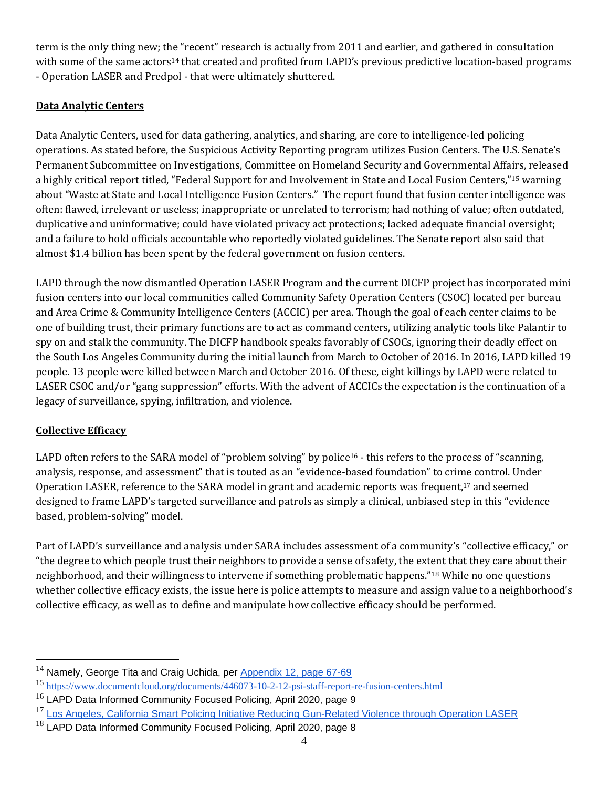term is the only thing new; the "recent" research is actually from 2011 and earlier, and gathered in consultation with some of the same actors<sup>14</sup> that created and profited from LAPD's previous predictive location-based programs - Operation LASER and Predpol - that were ultimately shuttered.

### **Data Analytic Centers**

Data Analytic Centers, used for data gathering, analytics, and sharing, are core to intelligence-led policing operations. As stated before, the Suspicious Activity Reporting program utilizes Fusion Centers. The U.S. Senate's Permanent Subcommittee on Investigations, Committee on Homeland Security and Governmental Affairs, released a highly critical report titled, "Federal Support for and Involvement in State and Local Fusion Centers,"<sup>15</sup> warning about "Waste at State and Local Intelligence Fusion Centers." The report found that fusion center intelligence was often: flawed, irrelevant or useless; inappropriate or unrelated to terrorism; had nothing of value; often outdated, duplicative and uninformative; could have violated privacy act protections; lacked adequate financial oversight; and a failure to hold officials accountable who reportedly violated guidelines. The Senate report also said that almost \$1.4 billion has been spent by the federal government on fusion centers.

LAPD through the now dismantled Operation LASER Program and the current DICFP project has incorporated mini fusion centers into our local communities called Community Safety Operation Centers (CSOC) located per bureau and Area Crime & Community Intelligence Centers (ACCIC) per area. Though the goal of each center claims to be one of building trust, their primary functions are to act as command centers, utilizing analytic tools like Palantir to spy on and stalk the community. The DICFP handbook speaks favorably of CSOCs, ignoring their deadly effect on the South Los Angeles Community during the initial launch from March to October of 2016. In 2016, LAPD killed 19 people. 13 people were killed between March and October 2016. Of these, eight killings by LAPD were related to LASER CSOC and/or "gang suppression" efforts. With the advent of ACCICs the expectation is the continuation of a legacy of surveillance, spying, infiltration, and violence.

## **Collective Efficacy**

LAPD often refers to the SARA model of "problem solving" by police<sup>16</sup> - this refers to the process of "scanning, analysis, response, and assessment" that is touted as an "evidence-based foundation" to crime control. Under Operation LASER, reference to the SARA model in grant and academic reports was frequent,<sup>17</sup> and seemed designed to frame LAPD's targeted surveillance and patrols as simply a clinical, unbiased step in this "evidence based, problem-solving" model.

Part of LAPD's surveillance and analysis under SARA includes assessment of a community's "collective efficacy," or "the degree to which people trust their neighbors to provide a sense of safety, the extent that they care about their neighborhood, and their willingness to intervene if something problematic happens."<sup>18</sup> While no one questions whether collective efficacy exists, the issue here is police attempts to measure and assign value to a neighborhood's collective efficacy, as well as to define and manipulate how collective efficacy should be performed.

 $14$  Namely, George Tita and Craig Uchida, per [Appendix 12, page 67-69](https://publikationen.uni-tuebingen.de/xmlui/bitstream/handle/10900/64689/Braga_Hot_Spots_Policing_Review.pdf?sequence=1&isAllowed=y)

<sup>15</sup> <https://www.documentcloud.org/documents/446073-10-2-12-psi-staff-report-re-fusion-centers.html>

 $16$  LAPD Data Informed Community Focused Policing, April 2020, page 9

<sup>&</sup>lt;sup>17</sup> [Los Angeles, California Smart Policing Initiative Reducing](http://newweb.jssinc.org/wp-content/uploads/2014/11/Spotlight-on-Operation-LASER.pdf) Gun-Related Violence through Operation LASER

 $18$  LAPD Data Informed Community Focused Policing, April 2020, page 8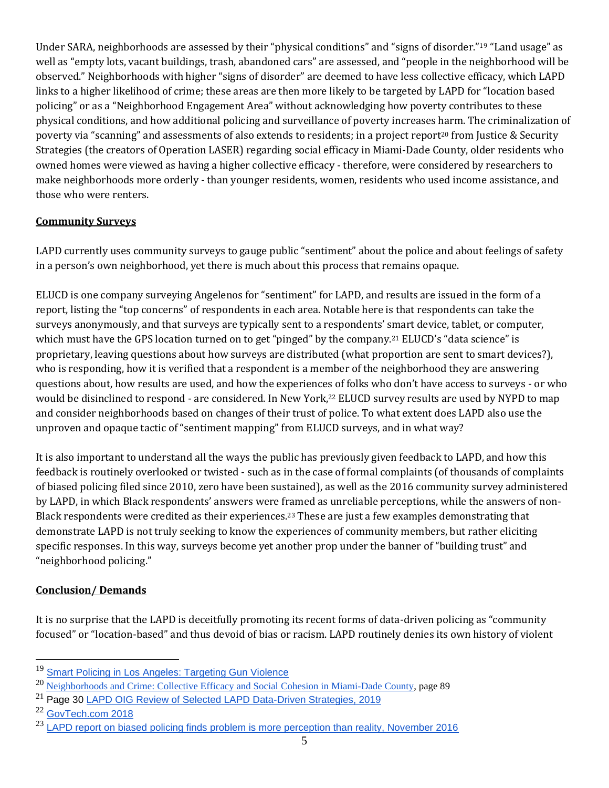Under SARA, neighborhoods are assessed by their "physical conditions" and "signs of disorder."<sup>19</sup> "Land usage" as well as "empty lots, vacant buildings, trash, abandoned cars" are assessed, and "people in the neighborhood will be observed." Neighborhoods with higher "signs of disorder" are deemed to have less collective efficacy, which LAPD links to a higher likelihood of crime; these areas are then more likely to be targeted by LAPD for "location based policing" or as a "Neighborhood Engagement Area" without acknowledging how poverty contributes to these physical conditions, and how additional policing and surveillance of poverty increases harm. The criminalization of poverty via "scanning" and assessments of also extends to residents; in a project report<sup>20</sup> from Justice & Security Strategies (the creators of Operation LASER) regarding social efficacy in Miami-Dade County, older residents who owned homes were viewed as having a higher collective efficacy - therefore, were considered by researchers to make neighborhoods more orderly - than younger residents, women, residents who used income assistance, and those who were renters.

#### **Community Surveys**

LAPD currently uses community surveys to gauge public "sentiment" about the police and about feelings of safety in a person's own neighborhood, yet there is much about this process that remains opaque.

ELUCD is one company surveying Angelenos for "sentiment" for LAPD, and results are issued in the form of a report, listing the "top concerns" of respondents in each area. Notable here is that respondents can take the surveys anonymously, and that surveys are typically sent to a respondents' smart device, tablet, or computer, which must have the GPS location turned on to get "pinged" by the company.<sup>21</sup> ELUCD's "data science" is proprietary, leaving questions about how surveys are distributed (what proportion are sent to smart devices?), who is responding, how it is verified that a respondent is a member of the neighborhood they are answering questions about, how results are used, and how the experiences of folks who don't have access to surveys - or who would be disinclined to respond - are considered. In New York,<sup>22</sup> ELUCD survey results are used by NYPD to map and consider neighborhoods based on changes of their trust of police. To what extent does LAPD also use the unproven and opaque tactic of "sentiment mapping" from ELUCD surveys, and in what way?

It is also important to understand all the ways the public has previously given feedback to LAPD, and how this feedback is routinely overlooked or twisted - such as in the case of formal complaints (of thousands of complaints of biased policing filed since 2010, zero have been sustained), as well as the 2016 community survey administered by LAPD, in which Black respondents' answers were framed as unreliable perceptions, while the answers of non-Black respondents were credited as their experiences. <sup>23</sup> These are just a few examples demonstrating that demonstrate LAPD is not truly seeking to know the experiences of community members, but rather eliciting specific responses. In this way, surveys become yet another prop under the banner of "building trust" and "neighborhood policing."

#### **Conclusion/ Demands**

It is no surprise that the LAPD is deceitfully promoting its recent forms of data-driven policing as "community focused" or "location-based" and thus devoid of bias or racism. LAPD routinely denies its own history of violent

<sup>&</sup>lt;sup>19</sup> [Smart Policing in Los Angeles: Targeting Gun Violence](https://stoplapdspying.org/wp-content/uploads/2018/05/Attachment-2-Program-Narrative.pdf)

<sup>20</sup> [Neighborhoods and Crime: Collective Efficacy and Social Cohesion in](https://www.ncjrs.gov/pdffiles1/nij/grants/245406.pdf) Miami-Dade County, page 89

<sup>&</sup>lt;sup>21</sup> Page 30 [LAPD OIG Review of Selected LAPD Data-Driven Strategies, 2019](http://www.lapdpolicecom.lacity.org/031219/BPC_19-0072.pdf)

<sup>22</sup> [GovTech.com 2018](https://www.govtech.com/biz/Elucd-a-Community-Pollster-for-Police-Raises-1M-Seed-Round.html)

 $23$  [LAPD report on biased policing finds problem is more perception than reality, November 2016](https://www.scpr.org/news/2016/11/14/66116/lapd-report-on-biased-policing-finds-problem-is-mo/)